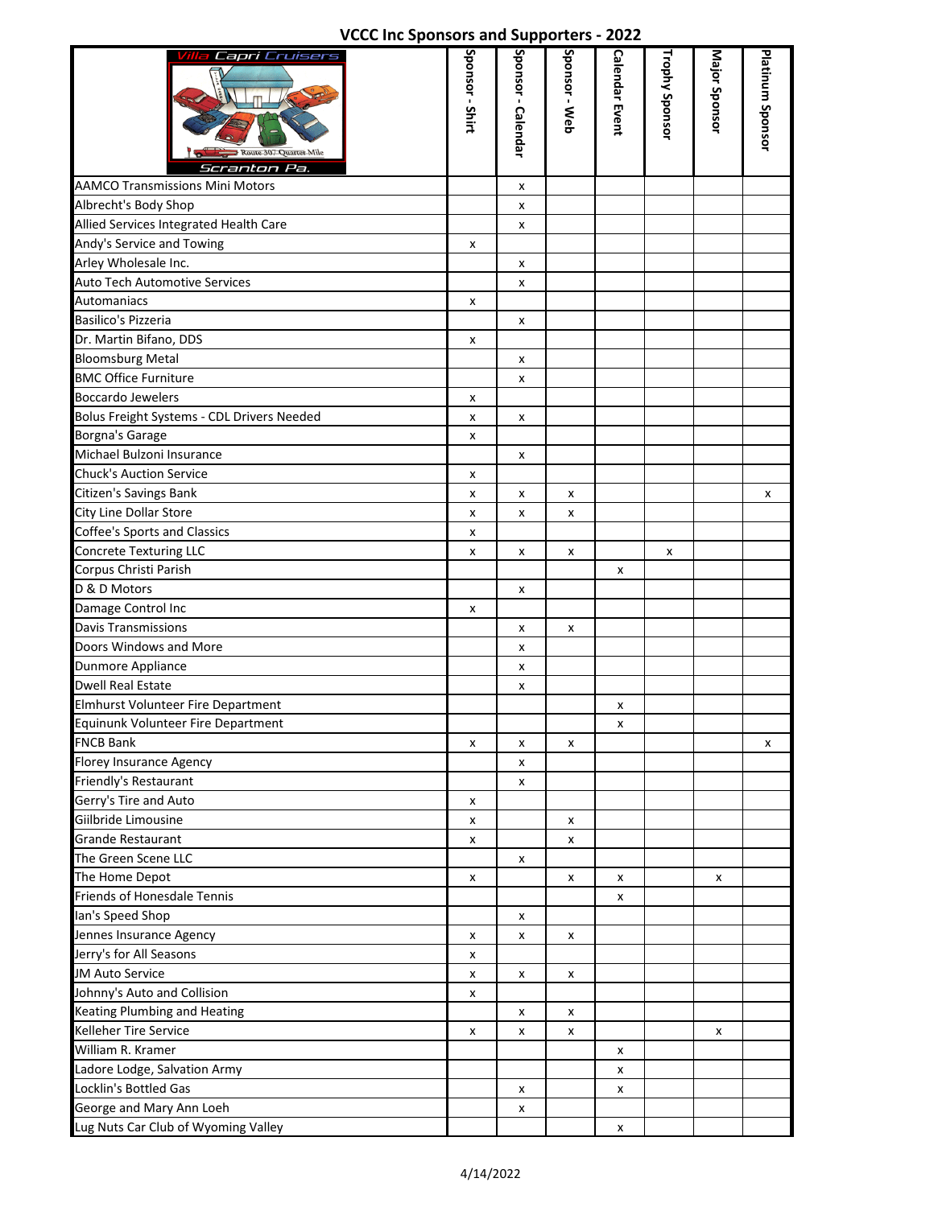|  |  | VCCC Inc Sponsors and Supporters - 2022 |  |  |
|--|--|-----------------------------------------|--|--|
|--|--|-----------------------------------------|--|--|

| Villa Capri Cruisers                       | Sponsor - Shirt |                    | Sponsor - Web | <b>Calendar Event</b> | Trophy Sponsor | Major Sponsor |                  |
|--------------------------------------------|-----------------|--------------------|---------------|-----------------------|----------------|---------------|------------------|
| Route 307 Quarter Mile<br>Scranton Pa.     |                 | Sponsor - Calendar |               |                       |                |               | Platinum Sponsor |
| <b>AAMCO Transmissions Mini Motors</b>     |                 | x                  |               |                       |                |               |                  |
| Albrecht's Body Shop                       |                 | x                  |               |                       |                |               |                  |
| Allied Services Integrated Health Care     |                 | x                  |               |                       |                |               |                  |
| Andy's Service and Towing                  | x               |                    |               |                       |                |               |                  |
| Arley Wholesale Inc.                       |                 | x                  |               |                       |                |               |                  |
| <b>Auto Tech Automotive Services</b>       |                 | x                  |               |                       |                |               |                  |
| Automaniacs                                | x               |                    |               |                       |                |               |                  |
| Basilico's Pizzeria                        |                 | x                  |               |                       |                |               |                  |
| Dr. Martin Bifano, DDS                     | x               |                    |               |                       |                |               |                  |
| <b>Bloomsburg Metal</b>                    |                 | x                  |               |                       |                |               |                  |
| <b>BMC Office Furniture</b>                |                 | x                  |               |                       |                |               |                  |
| Boccardo Jewelers                          | x               |                    |               |                       |                |               |                  |
| Bolus Freight Systems - CDL Drivers Needed | X               | x                  |               |                       |                |               |                  |
| Borgna's Garage                            | x               |                    |               |                       |                |               |                  |
| Michael Bulzoni Insurance                  |                 | x                  |               |                       |                |               |                  |
| <b>Chuck's Auction Service</b>             | x               |                    |               |                       |                |               |                  |
| Citizen's Savings Bank                     | x               | x                  | x             |                       |                |               | x                |
| City Line Dollar Store                     | X               | x                  | x             |                       |                |               |                  |
| <b>Coffee's Sports and Classics</b>        | x               |                    |               |                       |                |               |                  |
| <b>Concrete Texturing LLC</b>              | X               | x                  | x             |                       | x              |               |                  |
| Corpus Christi Parish                      |                 |                    |               | x                     |                |               |                  |
| D & D Motors                               |                 | x                  |               |                       |                |               |                  |
| Damage Control Inc                         | x               |                    |               |                       |                |               |                  |
| <b>Davis Transmissions</b>                 |                 | x                  | x             |                       |                |               |                  |
| Doors Windows and More                     |                 | x                  |               |                       |                |               |                  |
| Dunmore Appliance                          |                 | x                  |               |                       |                |               |                  |
| <b>Dwell Real Estate</b>                   |                 | x                  |               |                       |                |               |                  |
| Elmhurst Volunteer Fire Department         |                 |                    |               | x                     |                |               |                  |
| Equinunk Volunteer Fire Department         |                 |                    |               | x                     |                |               |                  |
| <b>FNCB Bank</b>                           | X               | x                  | x             |                       |                |               | x                |
| <b>Florey Insurance Agency</b>             |                 | x                  |               |                       |                |               |                  |
| Friendly's Restaurant                      |                 | x                  |               |                       |                |               |                  |
| Gerry's Tire and Auto                      | x               |                    |               |                       |                |               |                  |
| Giilbride Limousine                        | x               |                    | x             |                       |                |               |                  |
| <b>Grande Restaurant</b>                   | x               |                    | x             |                       |                |               |                  |
| The Green Scene LLC                        |                 | x                  |               |                       |                |               |                  |
| The Home Depot                             | x               |                    | x             | x                     |                | x             |                  |
| <b>Friends of Honesdale Tennis</b>         |                 |                    |               | x                     |                |               |                  |
| Ian's Speed Shop                           |                 | x                  |               |                       |                |               |                  |
| Jennes Insurance Agency                    | X               | x                  | X             |                       |                |               |                  |
| Jerry's for All Seasons                    | x               |                    |               |                       |                |               |                  |
| JM Auto Service                            | x               | x                  | x             |                       |                |               |                  |
| Johnny's Auto and Collision                | x               |                    |               |                       |                |               |                  |
| Keating Plumbing and Heating               |                 | x                  | x             |                       |                |               |                  |
| Kelleher Tire Service                      | x               | x                  | x             |                       |                | x             |                  |
| William R. Kramer                          |                 |                    |               | x                     |                |               |                  |
| Ladore Lodge, Salvation Army               |                 |                    |               | x                     |                |               |                  |
| Locklin's Bottled Gas                      |                 | x                  |               | x                     |                |               |                  |
| George and Mary Ann Loeh                   |                 | x                  |               |                       |                |               |                  |
| Lug Nuts Car Club of Wyoming Valley        |                 |                    |               | x                     |                |               |                  |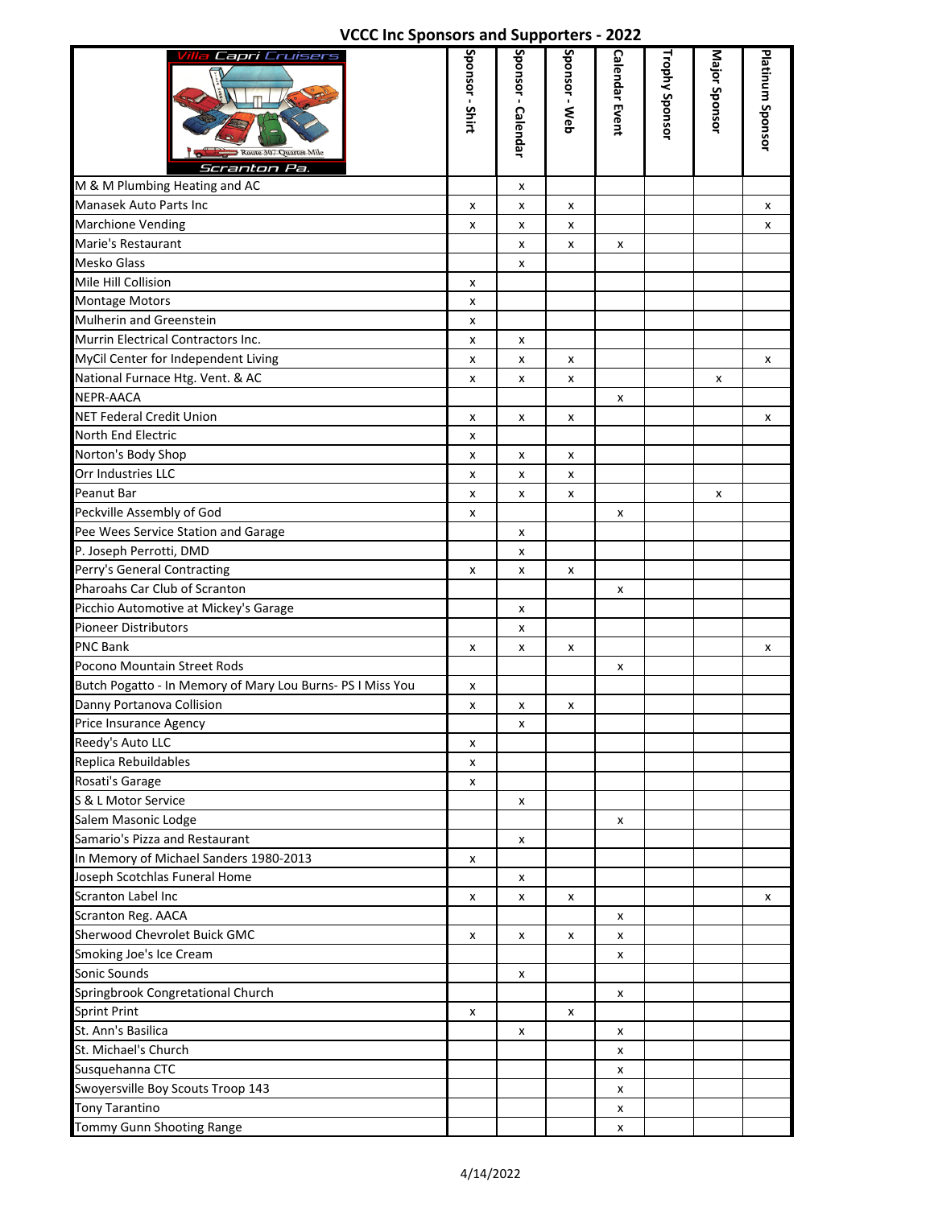## **VCCC Inc Sponsors and Supporters - 2022**

| Villa <b>Capri</b> Cruisers<br>Route 307 Quarter Mile<br>Scranton Pa. | Sponsor - Shirt | Sponsor - Calendar | Sponsor - Web | <b>Calendar Event</b> | Trophy Sponsor | Major Sponsor | Platinum Sponsor |
|-----------------------------------------------------------------------|-----------------|--------------------|---------------|-----------------------|----------------|---------------|------------------|
| M & M Plumbing Heating and AC                                         |                 | x                  |               |                       |                |               |                  |
| Manasek Auto Parts Inc                                                | x               | x                  | x             |                       |                |               | x                |
| <b>Marchione Vending</b>                                              | x               | x                  | x             |                       |                |               | x                |
| Marie's Restaurant                                                    |                 | x                  | x             | x                     |                |               |                  |
| <b>Mesko Glass</b>                                                    |                 | x                  |               |                       |                |               |                  |
| Mile Hill Collision                                                   | x               |                    |               |                       |                |               |                  |
| <b>Montage Motors</b>                                                 | x               |                    |               |                       |                |               |                  |
| Mulherin and Greenstein                                               | x               |                    |               |                       |                |               |                  |
| Murrin Electrical Contractors Inc.                                    | x               | x                  |               |                       |                |               |                  |
| MyCil Center for Independent Living                                   | x               | x                  | x             |                       |                |               | x                |
| National Furnace Htg. Vent. & AC                                      | x               | x                  | x             |                       |                | x             |                  |
| <b>NEPR-AACA</b>                                                      |                 |                    |               | x                     |                |               |                  |
| <b>NET Federal Credit Union</b>                                       | x               | x                  | x             |                       |                |               | x                |
| <b>North End Electric</b>                                             | x               |                    |               |                       |                |               |                  |
| Norton's Body Shop                                                    | x               | x                  | X             |                       |                |               |                  |
| Orr Industries LLC                                                    | x               | x                  | x             |                       |                |               |                  |
| Peanut Bar                                                            | x               | x                  | x             |                       |                | x             |                  |
| Peckville Assembly of God                                             | x               |                    |               | x                     |                |               |                  |
| Pee Wees Service Station and Garage                                   |                 | x                  |               |                       |                |               |                  |
| P. Joseph Perrotti, DMD                                               |                 | x                  |               |                       |                |               |                  |
| Perry's General Contracting                                           | x               | x                  | x             |                       |                |               |                  |
| Pharoahs Car Club of Scranton                                         |                 |                    |               | x                     |                |               |                  |
| Picchio Automotive at Mickey's Garage                                 |                 | x                  |               |                       |                |               |                  |
| Pioneer Distributors                                                  |                 | x                  |               |                       |                |               |                  |
| <b>PNC Bank</b>                                                       | x               | x                  | x             |                       |                |               | x                |
| Pocono Mountain Street Rods                                           |                 |                    |               | x                     |                |               |                  |
| Butch Pogatto - In Memory of Mary Lou Burns- PS I Miss You            | x               |                    |               |                       |                |               |                  |
| Danny Portanova Collision                                             | x               | x                  | x             |                       |                |               |                  |
| Price Insurance Agency                                                |                 | x                  |               |                       |                |               |                  |
| Reedy's Auto LLC                                                      | x               |                    |               |                       |                |               |                  |
| Replica Rebuildables                                                  | x               |                    |               |                       |                |               |                  |
| Rosati's Garage                                                       | x               |                    |               |                       |                |               |                  |
| S & L Motor Service                                                   |                 | x                  |               |                       |                |               |                  |
| Salem Masonic Lodge                                                   |                 |                    |               | x                     |                |               |                  |
| Samario's Pizza and Restaurant                                        |                 | x                  |               |                       |                |               |                  |
| In Memory of Michael Sanders 1980-2013                                | x               |                    |               |                       |                |               |                  |
| Joseph Scotchlas Funeral Home                                         |                 | x                  |               |                       |                |               |                  |
| Scranton Label Inc                                                    | x               | x                  | x             |                       |                |               | x                |
| Scranton Reg. AACA                                                    |                 |                    |               | x                     |                |               |                  |
| Sherwood Chevrolet Buick GMC                                          | x               | x                  | x             | x                     |                |               |                  |
| Smoking Joe's Ice Cream                                               |                 |                    |               | x                     |                |               |                  |
| Sonic Sounds                                                          |                 | x                  |               |                       |                |               |                  |
| Springbrook Congretational Church                                     |                 |                    |               | x                     |                |               |                  |
| <b>Sprint Print</b>                                                   | x               |                    | х             |                       |                |               |                  |
| St. Ann's Basilica                                                    |                 | x                  |               | x                     |                |               |                  |
| St. Michael's Church                                                  |                 |                    |               | x                     |                |               |                  |
| Susquehanna CTC                                                       |                 |                    |               | x                     |                |               |                  |
| Swoyersville Boy Scouts Troop 143                                     |                 |                    |               | x                     |                |               |                  |
| <b>Tony Tarantino</b>                                                 |                 |                    |               | x                     |                |               |                  |
| Tommy Gunn Shooting Range                                             |                 |                    |               | x                     |                |               |                  |